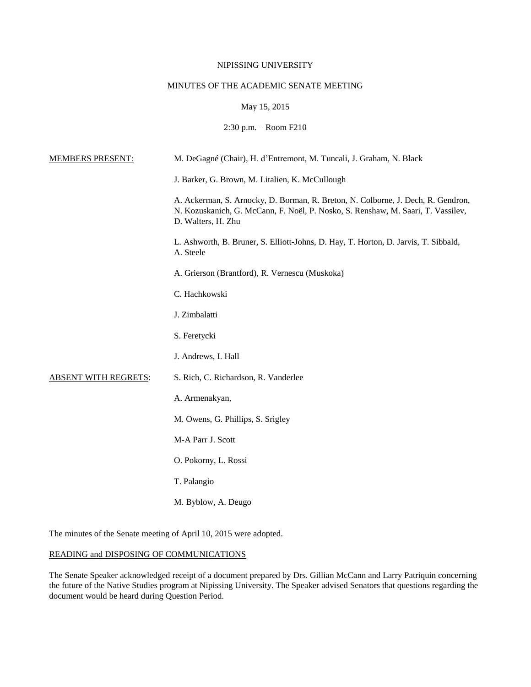# NIPISSING UNIVERSITY

# MINUTES OF THE ACADEMIC SENATE MEETING

# May 15, 2015

# 2:30 p.m. – Room F210

| <b>MEMBERS PRESENT:</b>     | M. DeGagné (Chair), H. d'Entremont, M. Tuncali, J. Graham, N. Black                                                                                                                        |
|-----------------------------|--------------------------------------------------------------------------------------------------------------------------------------------------------------------------------------------|
|                             | J. Barker, G. Brown, M. Litalien, K. McCullough                                                                                                                                            |
|                             | A. Ackerman, S. Arnocky, D. Borman, R. Breton, N. Colborne, J. Dech, R. Gendron,<br>N. Kozuskanich, G. McCann, F. Noël, P. Nosko, S. Renshaw, M. Saari, T. Vassilev,<br>D. Walters, H. Zhu |
|                             | L. Ashworth, B. Bruner, S. Elliott-Johns, D. Hay, T. Horton, D. Jarvis, T. Sibbald,<br>A. Steele                                                                                           |
|                             | A. Grierson (Brantford), R. Vernescu (Muskoka)                                                                                                                                             |
|                             | C. Hachkowski                                                                                                                                                                              |
|                             | J. Zimbalatti                                                                                                                                                                              |
|                             | S. Feretycki                                                                                                                                                                               |
|                             | J. Andrews, I. Hall                                                                                                                                                                        |
| <b>ABSENT WITH REGRETS:</b> | S. Rich, C. Richardson, R. Vanderlee                                                                                                                                                       |
|                             | A. Armenakyan,                                                                                                                                                                             |
|                             | M. Owens, G. Phillips, S. Srigley                                                                                                                                                          |
|                             | M-A Parr J. Scott                                                                                                                                                                          |
|                             | O. Pokorny, L. Rossi                                                                                                                                                                       |
|                             | T. Palangio                                                                                                                                                                                |
|                             | M. Byblow, A. Deugo                                                                                                                                                                        |

The minutes of the Senate meeting of April 10, 2015 were adopted.

# READING and DISPOSING OF COMMUNICATIONS

The Senate Speaker acknowledged receipt of a document prepared by Drs. Gillian McCann and Larry Patriquin concerning the future of the Native Studies program at Nipissing University. The Speaker advised Senators that questions regarding the document would be heard during Question Period.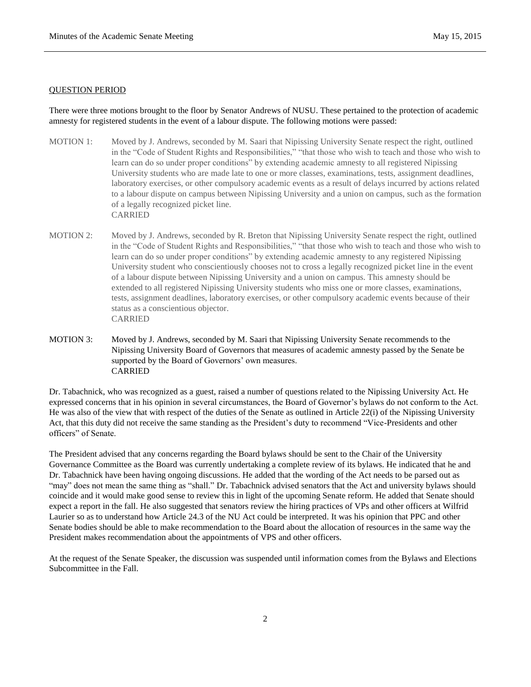#### QUESTION PERIOD

There were three motions brought to the floor by Senator Andrews of NUSU. These pertained to the protection of academic amnesty for registered students in the event of a labour dispute. The following motions were passed:

- MOTION 1: Moved by J. Andrews, seconded by M. Saari that Nipissing University Senate respect the right, outlined in the "Code of Student Rights and Responsibilities," "that those who wish to teach and those who wish to learn can do so under proper conditions" by extending academic amnesty to all registered Nipissing University students who are made late to one or more classes, examinations, tests, assignment deadlines, laboratory exercises, or other compulsory academic events as a result of delays incurred by actions related to a labour dispute on campus between Nipissing University and a union on campus, such as the formation of a legally recognized picket line. CARRIED
- MOTION 2: Moved by J. Andrews, seconded by R. Breton that Nipissing University Senate respect the right, outlined in the "Code of Student Rights and Responsibilities," "that those who wish to teach and those who wish to learn can do so under proper conditions" by extending academic amnesty to any registered Nipissing University student who conscientiously chooses not to cross a legally recognized picket line in the event of a labour dispute between Nipissing University and a union on campus. This amnesty should be extended to all registered Nipissing University students who miss one or more classes, examinations, tests, assignment deadlines, laboratory exercises, or other compulsory academic events because of their status as a conscientious objector. CARRIED
- MOTION 3: Moved by J. Andrews, seconded by M. Saari that Nipissing University Senate recommends to the Nipissing University Board of Governors that measures of academic amnesty passed by the Senate be supported by the Board of Governors' own measures. CARRIED

Dr. Tabachnick, who was recognized as a guest, raised a number of questions related to the Nipissing University Act. He expressed concerns that in his opinion in several circumstances, the Board of Governor's bylaws do not conform to the Act. He was also of the view that with respect of the duties of the Senate as outlined in Article 22(i) of the Nipissing University Act, that this duty did not receive the same standing as the President's duty to recommend "Vice-Presidents and other officers" of Senate.

The President advised that any concerns regarding the Board bylaws should be sent to the Chair of the University Governance Committee as the Board was currently undertaking a complete review of its bylaws. He indicated that he and Dr. Tabachnick have been having ongoing discussions. He added that the wording of the Act needs to be parsed out as "may" does not mean the same thing as "shall." Dr. Tabachnick advised senators that the Act and university bylaws should coincide and it would make good sense to review this in light of the upcoming Senate reform. He added that Senate should expect a report in the fall. He also suggested that senators review the hiring practices of VPs and other officers at Wilfrid Laurier so as to understand how Article 24.3 of the NU Act could be interpreted. It was his opinion that PPC and other Senate bodies should be able to make recommendation to the Board about the allocation of resources in the same way the President makes recommendation about the appointments of VPS and other officers.

At the request of the Senate Speaker, the discussion was suspended until information comes from the Bylaws and Elections Subcommittee in the Fall.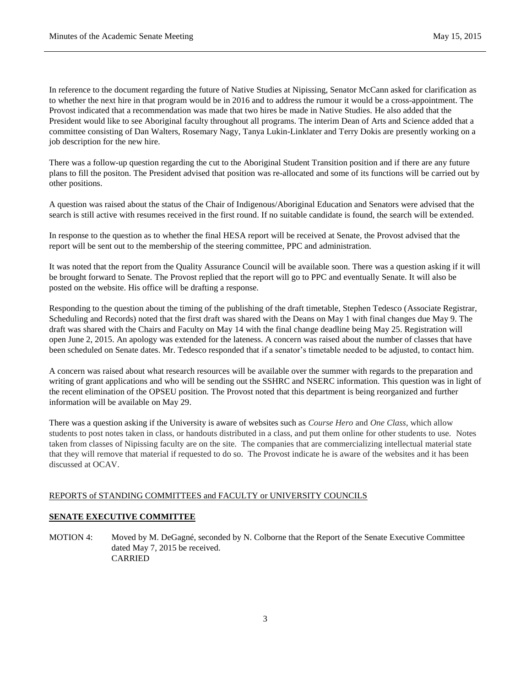In reference to the document regarding the future of Native Studies at Nipissing, Senator McCann asked for clarification as to whether the next hire in that program would be in 2016 and to address the rumour it would be a cross-appointment. The Provost indicated that a recommendation was made that two hires be made in Native Studies. He also added that the President would like to see Aboriginal faculty throughout all programs. The interim Dean of Arts and Science added that a committee consisting of Dan Walters, Rosemary Nagy, Tanya Lukin-Linklater and Terry Dokis are presently working on a job description for the new hire.

There was a follow-up question regarding the cut to the Aboriginal Student Transition position and if there are any future plans to fill the positon. The President advised that position was re-allocated and some of its functions will be carried out by other positions.

A question was raised about the status of the Chair of Indigenous/Aboriginal Education and Senators were advised that the search is still active with resumes received in the first round. If no suitable candidate is found, the search will be extended.

In response to the question as to whether the final HESA report will be received at Senate, the Provost advised that the report will be sent out to the membership of the steering committee, PPC and administration.

It was noted that the report from the Quality Assurance Council will be available soon. There was a question asking if it will be brought forward to Senate. The Provost replied that the report will go to PPC and eventually Senate. It will also be posted on the website. His office will be drafting a response.

Responding to the question about the timing of the publishing of the draft timetable, Stephen Tedesco (Associate Registrar, Scheduling and Records) noted that the first draft was shared with the Deans on May 1 with final changes due May 9. The draft was shared with the Chairs and Faculty on May 14 with the final change deadline being May 25. Registration will open June 2, 2015. An apology was extended for the lateness. A concern was raised about the number of classes that have been scheduled on Senate dates. Mr. Tedesco responded that if a senator's timetable needed to be adjusted, to contact him.

A concern was raised about what research resources will be available over the summer with regards to the preparation and writing of grant applications and who will be sending out the SSHRC and NSERC information. This question was in light of the recent elimination of the OPSEU position. The Provost noted that this department is being reorganized and further information will be available on May 29.

There was a question asking if the University is aware of websites such as *Course Hero* and *One Class*, which allow students to post notes taken in class, or handouts distributed in a class, and put them online for other students to use. Notes taken from classes of Nipissing faculty are on the site. The companies that are commercializing intellectual material state that they will remove that material if requested to do so. The Provost indicate he is aware of the websites and it has been discussed at OCAV.

# REPORTS of STANDING COMMITTEES and FACULTY or UNIVERSITY COUNCILS

# **SENATE EXECUTIVE COMMITTEE**

MOTION 4: Moved by M. DeGagné, seconded by N. Colborne that the Report of the Senate Executive Committee dated May 7, 2015 be received. CARRIED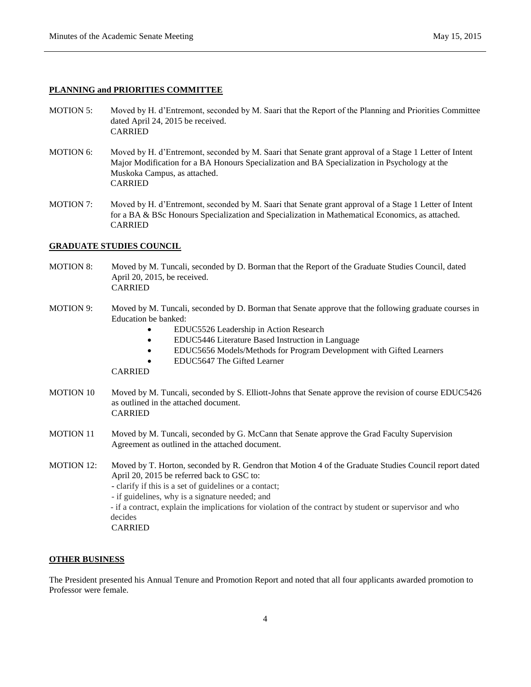# **PLANNING and PRIORITIES COMMITTEE**

- MOTION 5: Moved by H. d'Entremont, seconded by M. Saari that the Report of the Planning and Priorities Committee dated April 24, 2015 be received. CARRIED
- MOTION 6: Moved by H. d'Entremont, seconded by M. Saari that Senate grant approval of a Stage 1 Letter of Intent Major Modification for a BA Honours Specialization and BA Specialization in Psychology at the Muskoka Campus, as attached. CARRIED
- MOTION 7: Moved by H. d'Entremont, seconded by M. Saari that Senate grant approval of a Stage 1 Letter of Intent for a BA & BSc Honours Specialization and Specialization in Mathematical Economics, as attached. CARRIED

# **GRADUATE STUDIES COUNCIL**

- MOTION 8: Moved by M. Tuncali, seconded by D. Borman that the Report of the Graduate Studies Council, dated April 20, 2015, be received. CARRIED
- MOTION 9: Moved by M. Tuncali, seconded by D. Borman that Senate approve that the following graduate courses in Education be banked:
	- EDUC5526 Leadership in Action Research
	- EDUC5446 Literature Based Instruction in Language
	- EDUC5656 Models/Methods for Program Development with Gifted Learners
	- EDUC5647 The Gifted Learner

CARRIED

- MOTION 10 Moved by M. Tuncali, seconded by S. Elliott-Johns that Senate approve the revision of course EDUC5426 as outlined in the attached document. CARRIED
- MOTION 11 Moved by M. Tuncali, seconded by G. McCann that Senate approve the Grad Faculty Supervision Agreement as outlined in the attached document.
- MOTION 12: Moved by T. Horton, seconded by R. Gendron that Motion 4 of the Graduate Studies Council report dated April 20, 2015 be referred back to GSC to: - clarify if this is a set of guidelines or a contact; - if guidelines, why is a signature needed; and - if a contract, explain the implications for violation of the contract by student or supervisor and who decides CARRIED

#### **OTHER BUSINESS**

The President presented his Annual Tenure and Promotion Report and noted that all four applicants awarded promotion to Professor were female.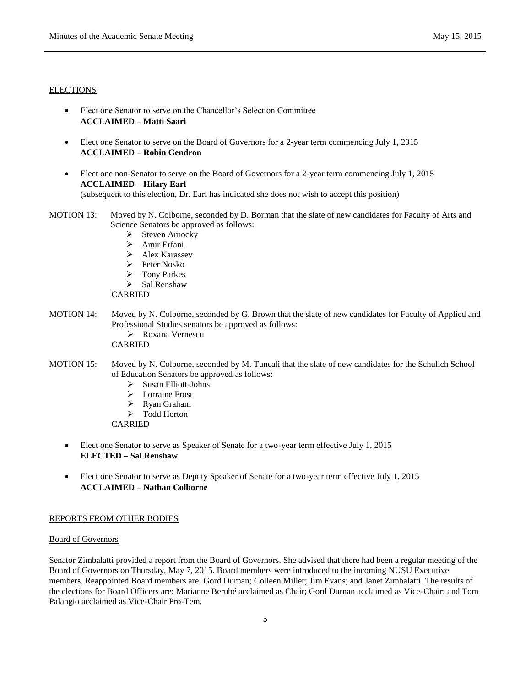### **ELECTIONS**

- Elect one Senator to serve on the Chancellor's Selection Committee **ACCLAIMED – Matti Saari**
- Elect one Senator to serve on the Board of Governors for a 2-year term commencing July 1, 2015 **ACCLAIMED – Robin Gendron**
- Elect one non-Senator to serve on the Board of Governors for a 2-year term commencing July 1, 2015 **ACCLAIMED – Hilary Earl** (subsequent to this election, Dr. Earl has indicated she does not wish to accept this position)
- MOTION 13: Moved by N. Colborne, seconded by D. Borman that the slate of new candidates for Faculty of Arts and Science Senators be approved as follows:
	- $\triangleright$  Steven Arnocky
	- > Amir Erfani
	- > Alex Karassev
	- $\triangleright$  Peter Nosko
	- > Tony Parkes
	- $\triangleright$  Sal Renshaw

CARRIED

MOTION 14: Moved by N. Colborne, seconded by G. Brown that the slate of new candidates for Faculty of Applied and Professional Studies senators be approved as follows: Roxana Vernescu

CARRIED

- MOTION 15: Moved by N. Colborne, seconded by M. Tuncali that the slate of new candidates for the Schulich School of Education Senators be approved as follows:
	- $\triangleright$  Susan Elliott-Johns
	- > Lorraine Frost
	- Ryan Graham
	- > Todd Horton

CARRIED

- Elect one Senator to serve as Speaker of Senate for a two-year term effective July 1, 2015 **ELECTED – Sal Renshaw**
- Elect one Senator to serve as Deputy Speaker of Senate for a two-year term effective July 1, 2015 **ACCLAIMED – Nathan Colborne**

# REPORTS FROM OTHER BODIES

#### Board of Governors

Senator Zimbalatti provided a report from the Board of Governors. She advised that there had been a regular meeting of the Board of Governors on Thursday, May 7, 2015. Board members were introduced to the incoming NUSU Executive members. Reappointed Board members are: Gord Durnan; Colleen Miller; Jim Evans; and Janet Zimbalatti. The results of the elections for Board Officers are: Marianne Berubé acclaimed as Chair; Gord Durnan acclaimed as Vice-Chair; and Tom Palangio acclaimed as Vice-Chair Pro-Tem.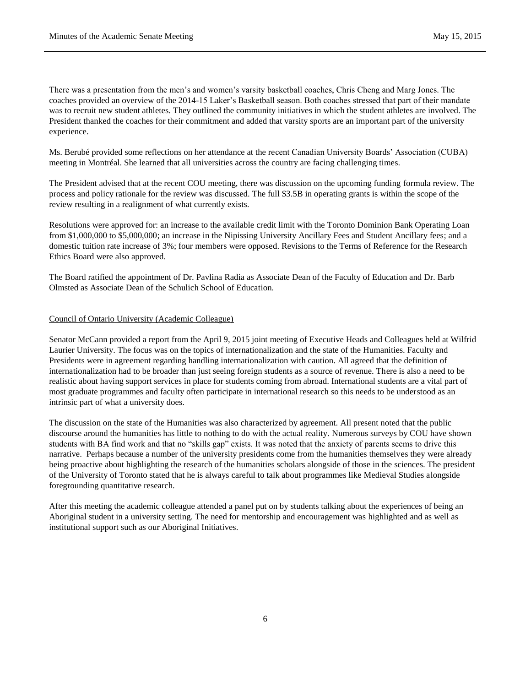There was a presentation from the men's and women's varsity basketball coaches, Chris Cheng and Marg Jones. The coaches provided an overview of the 2014-15 Laker's Basketball season. Both coaches stressed that part of their mandate was to recruit new student athletes. They outlined the community initiatives in which the student athletes are involved. The President thanked the coaches for their commitment and added that varsity sports are an important part of the university experience.

Ms. Berubé provided some reflections on her attendance at the recent Canadian University Boards' Association (CUBA) meeting in Montréal. She learned that all universities across the country are facing challenging times.

The President advised that at the recent COU meeting, there was discussion on the upcoming funding formula review. The process and policy rationale for the review was discussed. The full \$3.5B in operating grants is within the scope of the review resulting in a realignment of what currently exists.

Resolutions were approved for: an increase to the available credit limit with the Toronto Dominion Bank Operating Loan from \$1,000,000 to \$5,000,000; an increase in the Nipissing University Ancillary Fees and Student Ancillary fees; and a domestic tuition rate increase of 3%; four members were opposed. Revisions to the Terms of Reference for the Research Ethics Board were also approved.

The Board ratified the appointment of Dr. Pavlina Radia as Associate Dean of the Faculty of Education and Dr. Barb Olmsted as Associate Dean of the Schulich School of Education.

### Council of Ontario University (Academic Colleague)

Senator McCann provided a report from the April 9, 2015 joint meeting of Executive Heads and Colleagues held at Wilfrid Laurier University. The focus was on the topics of internationalization and the state of the Humanities. Faculty and Presidents were in agreement regarding handling internationalization with caution. All agreed that the definition of internationalization had to be broader than just seeing foreign students as a source of revenue. There is also a need to be realistic about having support services in place for students coming from abroad. International students are a vital part of most graduate programmes and faculty often participate in international research so this needs to be understood as an intrinsic part of what a university does.

The discussion on the state of the Humanities was also characterized by agreement. All present noted that the public discourse around the humanities has little to nothing to do with the actual reality. Numerous surveys by COU have shown students with BA find work and that no "skills gap" exists. It was noted that the anxiety of parents seems to drive this narrative. Perhaps because a number of the university presidents come from the humanities themselves they were already being proactive about highlighting the research of the humanities scholars alongside of those in the sciences. The president of the University of Toronto stated that he is always careful to talk about programmes like Medieval Studies alongside foregrounding quantitative research.

After this meeting the academic colleague attended a panel put on by students talking about the experiences of being an Aboriginal student in a university setting. The need for mentorship and encouragement was highlighted and as well as institutional support such as our Aboriginal Initiatives.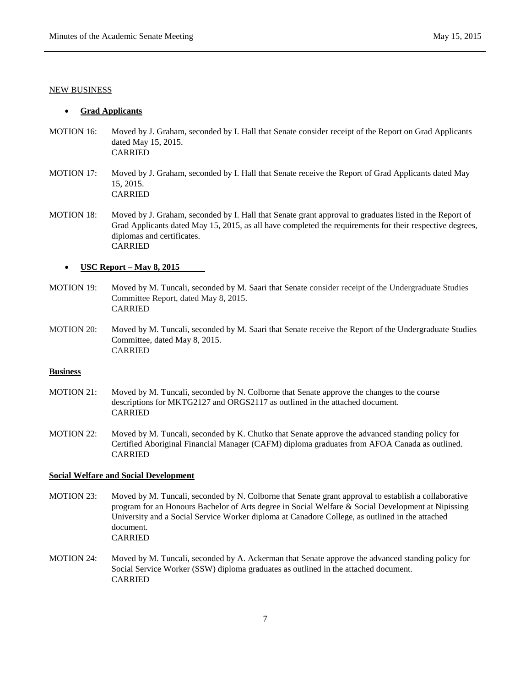### NEW BUSINESS

### **Grad Applicants**

- MOTION 16: Moved by J. Graham, seconded by I. Hall that Senate consider receipt of the Report on Grad Applicants dated May 15, 2015. CARRIED
- MOTION 17: Moved by J. Graham, seconded by I. Hall that Senate receive the Report of Grad Applicants dated May 15, 2015. CARRIED
- MOTION 18: Moved by J. Graham, seconded by I. Hall that Senate grant approval to graduates listed in the Report of Grad Applicants dated May 15, 2015, as all have completed the requirements for their respective degrees, diplomas and certificates. CARRIED

# **USC Report – May 8, 2015**

- MOTION 19: Moved by M. Tuncali, seconded by M. Saari that Senate consider receipt of the Undergraduate Studies Committee Report, dated May 8, 2015. CARRIED
- MOTION 20: Moved by M. Tuncali, seconded by M. Saari that Senate receive the Report of the Undergraduate Studies Committee, dated May 8, 2015. CARRIED

# **Business**

- MOTION 21: Moved by M. Tuncali, seconded by N. Colborne that Senate approve the changes to the course descriptions for MKTG2127 and ORGS2117 as outlined in the attached document. CARRIED
- MOTION 22: Moved by M. Tuncali, seconded by K. Chutko that Senate approve the advanced standing policy for Certified Aboriginal Financial Manager (CAFM) diploma graduates from AFOA Canada as outlined. CARRIED

# **Social Welfare and Social Development**

- MOTION 23: Moved by M. Tuncali, seconded by N. Colborne that Senate grant approval to establish a collaborative program for an Honours Bachelor of Arts degree in Social Welfare & Social Development at Nipissing University and a Social Service Worker diploma at Canadore College, as outlined in the attached document. CARRIED
- MOTION 24: Moved by M. Tuncali, seconded by A. Ackerman that Senate approve the advanced standing policy for Social Service Worker (SSW) diploma graduates as outlined in the attached document. CARRIED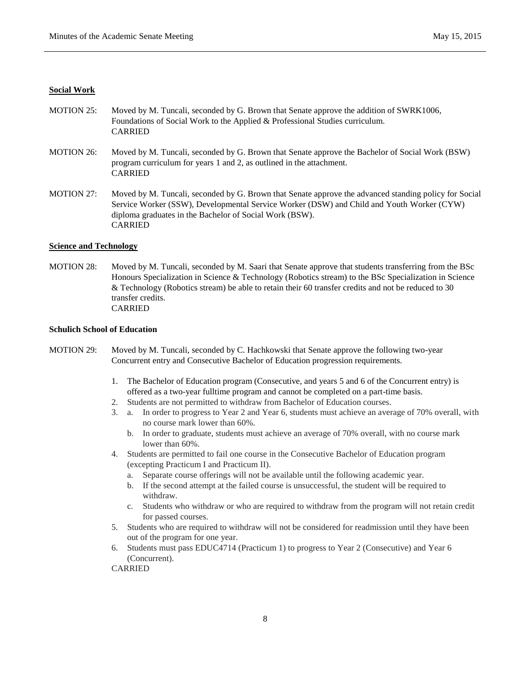## **Social Work**

- MOTION 25: Moved by M. Tuncali, seconded by G. Brown that Senate approve the addition of SWRK1006, Foundations of Social Work to the Applied & Professional Studies curriculum. CARRIED
- MOTION 26: Moved by M. Tuncali, seconded by G. Brown that Senate approve the Bachelor of Social Work (BSW) program curriculum for years 1 and 2, as outlined in the attachment. CARRIED
- MOTION 27: Moved by M. Tuncali, seconded by G. Brown that Senate approve the advanced standing policy for Social Service Worker (SSW), Developmental Service Worker (DSW) and Child and Youth Worker (CYW) diploma graduates in the Bachelor of Social Work (BSW). CARRIED

#### **Science and Technology**

MOTION 28: Moved by M. Tuncali, seconded by M. Saari that Senate approve that students transferring from the BSc Honours Specialization in Science & Technology (Robotics stream) to the BSc Specialization in Science & Technology (Robotics stream) be able to retain their 60 transfer credits and not be reduced to 30 transfer credits. CARRIED

#### **Schulich School of Education**

- MOTION 29: Moved by M. Tuncali, seconded by C. Hachkowski that Senate approve the following two-year Concurrent entry and Consecutive Bachelor of Education progression requirements.
	- 1. The Bachelor of Education program (Consecutive, and years 5 and 6 of the Concurrent entry) is offered as a two-year fulltime program and cannot be completed on a part-time basis.
	- 2. Students are not permitted to withdraw from Bachelor of Education courses.
	- 3. a. In order to progress to Year 2 and Year 6, students must achieve an average of 70% overall, with no course mark lower than 60%.
		- b. In order to graduate, students must achieve an average of 70% overall, with no course mark lower than 60%.
	- 4. Students are permitted to fail one course in the Consecutive Bachelor of Education program (excepting Practicum I and Practicum II).
		- a. Separate course offerings will not be available until the following academic year.
		- b. If the second attempt at the failed course is unsuccessful, the student will be required to withdraw.
		- c. Students who withdraw or who are required to withdraw from the program will not retain credit for passed courses.
	- 5. Students who are required to withdraw will not be considered for readmission until they have been out of the program for one year.
	- 6. Students must pass EDUC4714 (Practicum 1) to progress to Year 2 (Consecutive) and Year 6 (Concurrent).

CARRIED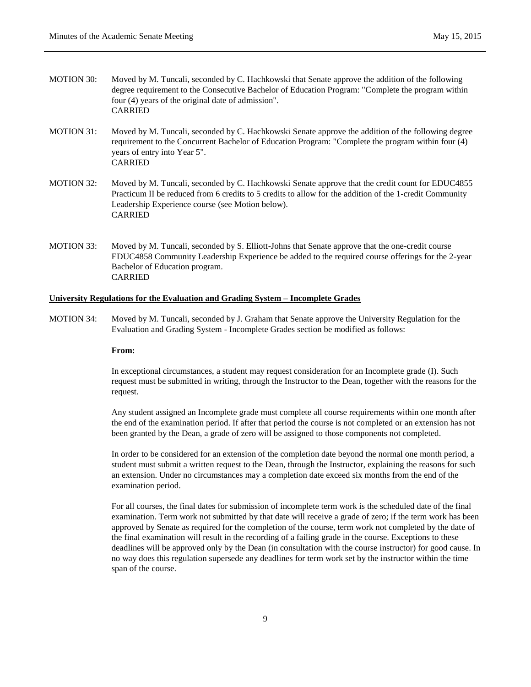- MOTION 30: Moved by M. Tuncali, seconded by C. Hachkowski that Senate approve the addition of the following degree requirement to the Consecutive Bachelor of Education Program: "Complete the program within four (4) years of the original date of admission". CARRIED
- MOTION 31: Moved by M. Tuncali, seconded by C. Hachkowski Senate approve the addition of the following degree requirement to the Concurrent Bachelor of Education Program: "Complete the program within four (4) years of entry into Year 5". CARRIED
- MOTION 32: Moved by M. Tuncali, seconded by C. Hachkowski Senate approve that the credit count for EDUC4855 Practicum II be reduced from 6 credits to 5 credits to allow for the addition of the 1-credit Community Leadership Experience course (see Motion below). CARRIED
- MOTION 33: Moved by M. Tuncali, seconded by S. Elliott-Johns that Senate approve that the one-credit course EDUC4858 Community Leadership Experience be added to the required course offerings for the 2-year Bachelor of Education program. CARRIED

### **University Regulations for the Evaluation and Grading System – Incomplete Grades**

MOTION 34: Moved by M. Tuncali, seconded by J. Graham that Senate approve the University Regulation for the Evaluation and Grading System - Incomplete Grades section be modified as follows:

#### **From:**

In exceptional circumstances, a student may request consideration for an Incomplete grade (I). Such request must be submitted in writing, through the Instructor to the Dean, together with the reasons for the request.

Any student assigned an Incomplete grade must complete all course requirements within one month after the end of the examination period. If after that period the course is not completed or an extension has not been granted by the Dean, a grade of zero will be assigned to those components not completed.

In order to be considered for an extension of the completion date beyond the normal one month period, a student must submit a written request to the Dean, through the Instructor, explaining the reasons for such an extension. Under no circumstances may a completion date exceed six months from the end of the examination period.

For all courses, the final dates for submission of incomplete term work is the scheduled date of the final examination. Term work not submitted by that date will receive a grade of zero; if the term work has been approved by Senate as required for the completion of the course, term work not completed by the date of the final examination will result in the recording of a failing grade in the course. Exceptions to these deadlines will be approved only by the Dean (in consultation with the course instructor) for good cause. In no way does this regulation supersede any deadlines for term work set by the instructor within the time span of the course.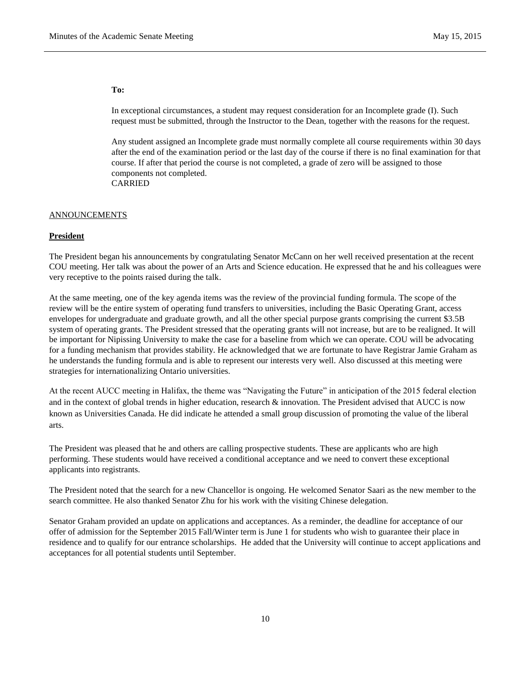#### **To:**

In exceptional circumstances, a student may request consideration for an Incomplete grade (I). Such request must be submitted, through the Instructor to the Dean, together with the reasons for the request.

Any student assigned an Incomplete grade must normally complete all course requirements within 30 days after the end of the examination period or the last day of the course if there is no final examination for that course. If after that period the course is not completed, a grade of zero will be assigned to those components not completed. CARRIED

## **ANNOUNCEMENTS**

### **President**

The President began his announcements by congratulating Senator McCann on her well received presentation at the recent COU meeting. Her talk was about the power of an Arts and Science education. He expressed that he and his colleagues were very receptive to the points raised during the talk.

At the same meeting, one of the key agenda items was the review of the provincial funding formula. The scope of the review will be the entire system of operating fund transfers to universities, including the Basic Operating Grant, access envelopes for undergraduate and graduate growth, and all the other special purpose grants comprising the current \$3.5B system of operating grants. The President stressed that the operating grants will not increase, but are to be realigned. It will be important for Nipissing University to make the case for a baseline from which we can operate. COU will be advocating for a funding mechanism that provides stability. He acknowledged that we are fortunate to have Registrar Jamie Graham as he understands the funding formula and is able to represent our interests very well. Also discussed at this meeting were strategies for internationalizing Ontario universities.

At the recent AUCC meeting in Halifax, the theme was "Navigating the Future" in anticipation of the 2015 federal election and in the context of global trends in higher education, research & innovation. The President advised that AUCC is now known as Universities Canada. He did indicate he attended a small group discussion of promoting the value of the liberal arts.

The President was pleased that he and others are calling prospective students. These are applicants who are high performing. These students would have received a conditional acceptance and we need to convert these exceptional applicants into registrants.

The President noted that the search for a new Chancellor is ongoing. He welcomed Senator Saari as the new member to the search committee. He also thanked Senator Zhu for his work with the visiting Chinese delegation.

Senator Graham provided an update on applications and acceptances. As a reminder, the deadline for acceptance of our offer of admission for the September 2015 Fall/Winter term is June 1 for students who wish to guarantee their place in residence and to qualify for our entrance scholarships. He added that the University will continue to accept applications and acceptances for all potential students until September.